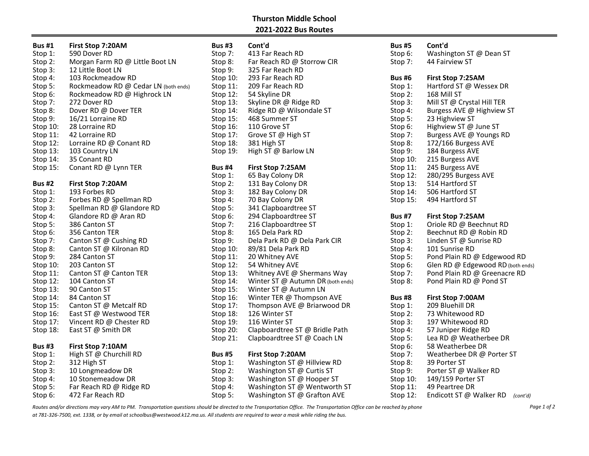## Thurston Middle School 2021-2022 Bus Routes

| <b>Bus #1</b>                    | First Stop 7:20AM                    | <b>Bus #3</b>                   | Cont'd                            | <b>Bus #5</b> | Cont'd                            |
|----------------------------------|--------------------------------------|---------------------------------|-----------------------------------|---------------|-----------------------------------|
| Stop 1:                          | 590 Dover RD                         | Stop 7:                         | 413 Far Reach RD                  | Stop 6:       | Washington ST @ Dean ST           |
| Stop 2:                          | Morgan Farm RD @ Little Boot LN      | Stop 8:                         | Far Reach RD @ Storrow CIR        | Stop 7:       | 44 Fairview ST                    |
| Stop 3:                          | 12 Little Boot LN                    | Stop 9:                         | 325 Far Reach RD                  |               |                                   |
| Stop 4:                          | 103 Rockmeadow RD                    | Stop 10:                        | 293 Far Reach RD                  | <b>Bus #6</b> | First Stop 7:25AM                 |
| Stop 5:                          | Rockmeadow RD @ Cedar LN (both ends) | Stop 11:                        | 209 Far Reach RD                  | Stop 1:       | Hartford ST @ Wessex DR           |
| Stop 6:                          | Rockmeadow RD @ Highrock LN          | Stop 12:                        | 54 Skyline DR                     | Stop 2:       | 168 Mill ST                       |
| Stop 7:                          | 272 Dover RD                         | Stop 13:                        | Skyline DR @ Ridge RD             | Stop 3:       | Mill ST @ Crystal Hill TER        |
| Stop 8:                          | Dover RD @ Dover TER                 | Stop $14$ :                     | Ridge RD @ Wilsondale ST          | Stop 4:       | Burgess AVE @ Highview ST         |
| Stop 9:                          | 16/21 Lorraine RD                    | Stop $15$ :                     | 468 Summer ST                     | Stop 5:       | 23 Highview ST                    |
| Stop 10:                         | 28 Lorraine RD                       | Stop 16:                        | 110 Grove ST                      | Stop 6:       | Highview ST @ June ST             |
| Stop 11:                         | 42 Lorraine RD                       | Stop 17:                        | Grove ST @ High ST                | Stop 7:       | Burgess AVE @ Youngs RD           |
| Stop 12:                         | Lorraine RD @ Conant RD              | Stop 18:                        | 381 High ST                       | Stop 8:       | 172/166 Burgess AVE               |
| Stop 13:                         | 103 Country LN                       | Stop 19:                        | High ST @ Barlow LN               | Stop 9:       | 184 Burgess AVE                   |
| Stop 14:                         | 35 Conant RD                         |                                 |                                   | Stop 10:      | 215 Burgess AVE                   |
| Stop 15:                         | Conant RD @ Lynn TER                 | <b>Bus #4</b>                   | First Stop 7:25AM                 | Stop 11:      | 245 Burgess AVE                   |
|                                  |                                      | Stop 1:                         | 65 Bay Colony DR                  | Stop 12:      | 280/295 Burgess AVE               |
| <b>Bus #2</b>                    | First Stop 7:20AM                    | Stop 2:                         | 131 Bay Colony DR                 | Stop 13:      | 514 Hartford ST                   |
| Stop 1:                          | 193 Forbes RD                        | Stop 3:                         | 182 Bay Colony DR                 | Stop 14:      | 506 Hartford ST                   |
| Stop 2:                          | Forbes RD @ Spellman RD              | Stop 4:                         | 70 Bay Colony DR                  | Stop 15:      | 494 Hartford ST                   |
| Stop 3:                          | Spellman RD @ Glandore RD            | Stop 5:                         | 341 Clapboardtree ST              |               |                                   |
| Stop 4:                          | Glandore RD @ Aran RD                | Stop 6:                         | 294 Clapboardtree ST              | <b>Bus #7</b> | First Stop 7:25AM                 |
| Stop 5:                          | 386 Canton ST                        | Stop 7:                         | 216 Clapboardtree ST              | Stop 1:       | Oriole RD @ Beechnut RD           |
| Stop 6:                          | 356 Canton TER                       | Stop 8:                         | 165 Dela Park RD                  | Stop 2:       | Beechnut RD @ Robin RD            |
| Stop 7:                          | Canton ST @ Cushing RD               | Stop 9:                         | Dela Park RD @ Dela Park CIR      | Stop 3:       | Linden ST @ Sunrise RD            |
| Stop 8:                          | Canton ST @ Kilronan RD              | Stop 10:                        | 89/81 Dela Park RD                | Stop 4:       | 101 Sunrise RD                    |
| Stop 9:                          | 284 Canton ST                        | Stop 11:                        | 20 Whitney AVE                    | Stop 5:       | Pond Plain RD @ Edgewood RD       |
| Stop 10:                         | 203 Canton ST                        | Stop 12:                        | 54 Whitney AVE                    | Stop 6:       | Glen RD @ Edgewood RD (both ends) |
| Stop 11:                         | Canton ST @ Canton TER               | Stop 13:                        | Whitney AVE @ Shermans Way        | Stop 7:       | Pond Plain RD @ Greenacre RD      |
| Stop 12:                         | 104 Canton ST                        | Stop 14:                        | Winter ST @ Autumn DR (both ends) | Stop 8:       | Pond Plain RD @ Pond ST           |
| Stop 13:                         | 90 Canton ST                         | Stop 15:                        | Winter ST @ Autumn LN             |               |                                   |
| Stop 14:                         | 84 Canton ST                         | Stop 16:                        | Winter TER @ Thompson AVE         | <b>Bus #8</b> | First Stop 7:00AM                 |
| Stop 15:                         | Canton ST @ Metcalf RD               | Stop 17:                        | Thompson AVE @ Briarwood DR       | Stop 1:       | 209 Bluehill DR                   |
| Stop 16:                         | East ST @ Westwood TER               | Stop 18:                        | 126 Winter ST                     | Stop 2:       | 73 Whitewood RD                   |
| Stop 17:                         | Vincent RD @ Chester RD              | Stop 19:                        | 116 Winter ST                     | Stop 3:       | 197 Whitewood RD                  |
| Stop 18:                         | East ST @ Smith DR                   | Stop $20$ :                     | Clapboardtree ST @ Bridle Path    | Stop 4:       | 57 Juniper Ridge RD               |
|                                  |                                      | Stop $21$ :                     | Clapboardtree ST @ Coach LN       | Stop 5:       | Lea RD @ Weatherbee DR            |
| <b>Bus #3</b>                    | First Stop 7:10AM                    |                                 |                                   | Stop 6:       | 58 Weatherbee DR                  |
| Stop 1:                          | High ST @ Churchill RD               | <b>Bus #5</b>                   | First Stop 7:20AM                 | Stop 7:       | Weatherbee DR @ Porter ST         |
| Stop 2:                          | 312 High ST                          | Stop 1:                         | Washington ST @ Hillview RD       | Stop 8:       | 39 Porter ST                      |
| Stop 3:                          | 10 Longmeadow DR                     | Stop 2:                         | Washington ST @ Curtis ST         | Stop 9:       | Porter ST @ Walker RD             |
| Stop 4:                          | 10 Stonemeadow DR                    | Stop 3:                         | Washington ST @ Hooper ST         | Stop 10:      | 149/159 Porter ST                 |
| $C+_{\mathbf{C}}$ $\mathbf{C}$ . | Far Boach BD @ Bidge BD              | $C+_{\alpha\alpha}$ $\Lambda$ . | $Mochination CT@Mon+unorth CT$    | $C+0.011$     | $10 \text{ hours}$                |

| <b>Bus #1</b> | First Stop 7:20AM                    | <b>Bus #3</b> | Cont'd                            | <b>Bus #5</b> | Cont'd                     |
|---------------|--------------------------------------|---------------|-----------------------------------|---------------|----------------------------|
| Stop 1:       | 590 Dover RD                         | Stop 7:       | 413 Far Reach RD                  | Stop 6:       | Washington ST @ Dean ST    |
| Stop 2:       | Morgan Farm RD @ Little Boot LN      | Stop 8:       | Far Reach RD @ Storrow CIR        | Stop 7:       | 44 Fairview ST             |
| Stop 3:       | 12 Little Boot LN                    | Stop 9:       | 325 Far Reach RD                  |               |                            |
| Stop 4:       | 103 Rockmeadow RD                    | Stop 10:      | 293 Far Reach RD                  | <b>Bus #6</b> | First Stop 7:25AM          |
| Stop 5:       | Rockmeadow RD @ Cedar LN (both ends) | Stop 11:      | 209 Far Reach RD                  | Stop 1:       | Hartford ST @ Wessex DR    |
| Stop 6:       | Rockmeadow RD @ Highrock LN          | Stop $12$ :   | 54 Skyline DR                     | Stop 2:       | 168 Mill ST                |
| Stop 7:       | 272 Dover RD                         | Stop 13:      | Skyline DR @ Ridge RD             | Stop 3:       | Mill ST @ Crystal Hill TER |
| Stop 8:       | Dover RD @ Dover TER                 | Stop 14:      | Ridge RD @ Wilsondale ST          | Stop 4:       | Burgess AVE @ Highview S   |
| Stop 9:       | 16/21 Lorraine RD                    | Stop 15:      | 468 Summer ST                     | Stop 5:       | 23 Highview ST             |
| Stop 10:      | 28 Lorraine RD                       | Stop 16:      | 110 Grove ST                      | Stop 6:       | Highview ST @ June ST      |
| Stop 11:      | 42 Lorraine RD                       | Stop 17:      | Grove ST @ High ST                | Stop 7:       | Burgess AVE @ Youngs RD    |
| Stop 12:      | Lorraine RD @ Conant RD              | Stop 18:      | 381 High ST                       | Stop 8:       | 172/166 Burgess AVE        |
| Stop 13:      | 103 Country LN                       | Stop 19:      | High ST @ Barlow LN               | Stop 9:       | 184 Burgess AVE            |
| Stop 14:      | 35 Conant RD                         |               |                                   | Stop 10:      | 215 Burgess AVE            |
| Stop 15:      | Conant RD @ Lynn TER                 | <b>Bus #4</b> | First Stop 7:25AM                 | Stop 11:      | 245 Burgess AVE            |
|               |                                      | Stop 1:       | 65 Bay Colony DR                  | Stop $12$ :   | 280/295 Burgess AVE        |
| <b>Bus #2</b> | First Stop 7:20AM                    | Stop 2:       | 131 Bay Colony DR                 | Stop 13:      | 514 Hartford ST            |
| Stop 1:       | 193 Forbes RD                        | Stop 3:       | 182 Bay Colony DR                 | Stop 14:      | 506 Hartford ST            |
| Stop 2:       | Forbes RD @ Spellman RD              | Stop 4:       | 70 Bay Colony DR                  | Stop 15:      | 494 Hartford ST            |
| Stop 3:       | Spellman RD @ Glandore RD            | Stop 5:       | 341 Clapboardtree ST              |               |                            |
| Stop 4:       | Glandore RD @ Aran RD                | Stop 6:       | 294 Clapboardtree ST              | <b>Bus #7</b> | First Stop 7:25AM          |
| Stop 5:       | 386 Canton ST                        | Stop 7:       | 216 Clapboardtree ST              | Stop 1:       | Oriole RD @ Beechnut RD    |
| Stop 6:       | 356 Canton TER                       | Stop 8:       | 165 Dela Park RD                  | Stop 2:       | Beechnut RD @ Robin RD     |
| Stop 7:       | Canton ST @ Cushing RD               | Stop 9:       | Dela Park RD @ Dela Park CIR      | Stop 3:       | Linden ST @ Sunrise RD     |
| Stop 8:       | Canton ST @ Kilronan RD              | Stop 10:      | 89/81 Dela Park RD                | Stop 4:       | 101 Sunrise RD             |
| Stop 9:       | 284 Canton ST                        | Stop 11:      | 20 Whitney AVE                    | Stop 5:       | Pond Plain RD @ Edgewoo    |
| Stop 10:      | 203 Canton ST                        | Stop 12:      | 54 Whitney AVE                    | Stop 6:       | Glen RD @ Edgewood RD (    |
| Stop 11:      | Canton ST @ Canton TER               | Stop 13:      | Whitney AVE @ Shermans Way        | Stop 7:       | Pond Plain RD @ Greenacr   |
| Stop 12:      | 104 Canton ST                        | Stop 14:      | Winter ST @ Autumn DR (both ends) | Stop 8:       | Pond Plain RD @ Pond ST    |
| Stop 13:      | 90 Canton ST                         | Stop 15:      | Winter ST @ Autumn LN             |               |                            |
| Stop 14:      | 84 Canton ST                         | Stop 16:      | Winter TER @ Thompson AVE         | <b>Bus #8</b> | First Stop 7:00AM          |
| Stop 15:      | Canton ST @ Metcalf RD               | Stop 17:      | Thompson AVE @ Briarwood DR       | Stop 1:       | 209 Bluehill DR            |
| Stop 16:      | East ST @ Westwood TER               | Stop 18:      | 126 Winter ST                     | Stop 2:       | 73 Whitewood RD            |
| Stop 17:      | Vincent RD @ Chester RD              | Stop 19:      | 116 Winter ST                     | Stop 3:       | 197 Whitewood RD           |
| Stop 18:      | East ST @ Smith DR                   | Stop 20:      | Clapboardtree ST @ Bridle Path    | Stop 4:       | 57 Juniper Ridge RD        |
|               |                                      | Stop 21:      | Clapboardtree ST @ Coach LN       | Stop 5:       | Lea RD @ Weatherbee DR     |
| <b>Bus #3</b> | First Stop 7:10AM                    |               |                                   | Stop 6:       | 58 Weatherbee DR           |
| Stop 1:       | High ST @ Churchill RD               | <b>Bus #5</b> | First Stop 7:20AM                 | Stop 7:       | Weatherbee DR @ Porter !   |
| Stop 2:       | 312 High ST                          | Stop 1:       | Washington ST @ Hillview RD       | Stop 8:       | 39 Porter ST               |
| Stop 3:       | 10 Longmeadow DR                     | Stop 2:       | Washington ST @ Curtis ST         | Stop 9:       | Porter ST @ Walker RD      |
| Stop 4:       | 10 Stonemeadow DR                    | Stop 3:       | Washington ST @ Hooper ST         | Stop 10:      | 149/159 Porter ST          |
| Stop 5:       | Far Reach RD @ Ridge RD              | Stop $4:$     | Washington ST @ Wentworth ST      | Stop $11$ :   | 49 Peartree DR             |
| Stop 6:       | 472 Far Reach RD                     | Stop 5:       | Washington ST @ Grafton AVE       | Stop 12:      | Endicott ST @ Walker RD    |

| us #5            | Cont'd                                   |
|------------------|------------------------------------------|
| top 6:           | Washington ST @ Dean ST                  |
| top 7:           | 44 Fairview ST                           |
|                  |                                          |
| us #6            | First Stop 7:25AM                        |
| top 1:           | Hartford ST @ Wessex DR                  |
| top 2:           | 168 Mill ST                              |
| top 3:           | Mill ST @ Crystal Hill TER               |
| top 4:           | Burgess AVE @ Highview ST                |
| top 5:           | 23 Highview ST                           |
| top 6:           | Highview ST @ June ST                    |
| top 7:           | Burgess AVE @ Youngs RD                  |
| top 8:           | 172/166 Burgess AVE                      |
| top 9:           | 184 Burgess AVE                          |
| top 10:          | 215 Burgess AVE                          |
| top 11:          | 245 Burgess AVE                          |
| top 12:          | 280/295 Burgess AVE                      |
| top 13:          | 514 Hartford ST                          |
| top 14:          | 506 Hartford ST                          |
| top 15:          | 494 Hartford ST                          |
|                  |                                          |
| us #7            | First Stop 7:25AM                        |
| top 1:           | Oriole RD @ Beechnut RD                  |
| top 2:           | Beechnut RD @ Robin RD                   |
| top 3:           | Linden ST @ Sunrise RD<br>101 Sunrise RD |
| top 4:           | Pond Plain RD @ Edgewood RD              |
| top 5:<br>top 6: | Glen RD @ Edgewood RD (both ends)        |
| top 7:           | Pond Plain RD @ Greenacre RD             |
| top 8:           | Pond Plain RD @ Pond ST                  |
|                  |                                          |
| us #8            | First Stop 7:00AM                        |
| top 1:           | 209 Bluehill DR                          |
| top 2:           | 73 Whitewood RD                          |
| top 3:           | 197 Whitewood RD                         |
| top 4:           | 57 Juniper Ridge RD                      |
| top 5:           | Lea RD @ Weatherbee DR                   |
| top 6:           | 58 Weatherbee DR                         |
| top 7:           | Weatherbee DR @ Porter ST                |
| top 8:           | 39 Porter ST                             |
| top 9:           | Porter ST @ Walker RD                    |
| top 10:          | 149/159 Porter ST                        |
| top 11:          | 49 Peartree DR                           |
| top 12:          | Endicott ST @ Walker RD<br>(cont'd)      |

Routes and/or directions may vary AM to PM. Transportation questions should be directed to the Transportation Office can be reached by phone at 781-326-7500, ext. 1338, or by email at schoolbus@westwood.k12.ma.us. All students are required to wear a mask while riding the bus.